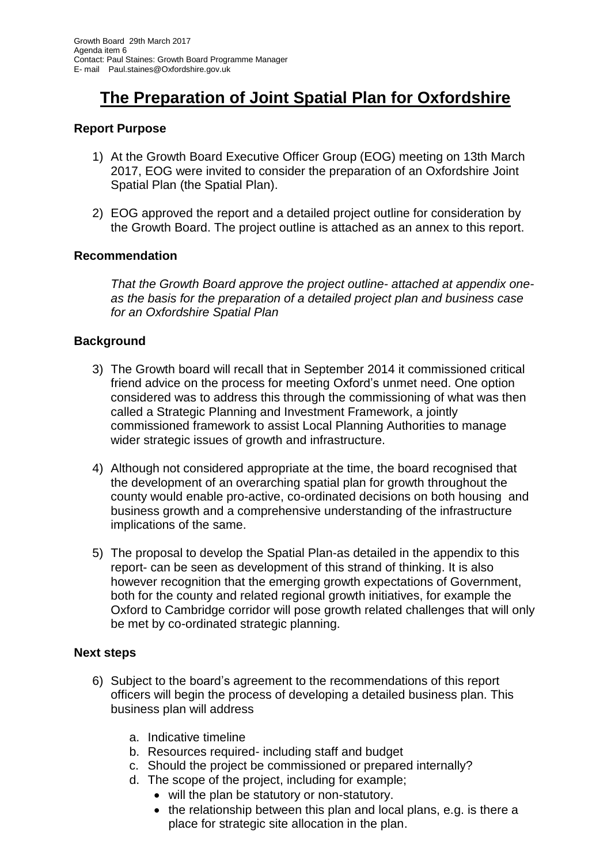# **The Preparation of Joint Spatial Plan for Oxfordshire**

## **Report Purpose**

- 1) At the Growth Board Executive Officer Group (EOG) meeting on 13th March 2017, EOG were invited to consider the preparation of an Oxfordshire Joint Spatial Plan (the Spatial Plan).
- 2) EOG approved the report and a detailed project outline for consideration by the Growth Board. The project outline is attached as an annex to this report.

### **Recommendation**

*That the Growth Board approve the project outline- attached at appendix oneas the basis for the preparation of a detailed project plan and business case for an Oxfordshire Spatial Plan*

### **Background**

- 3) The Growth board will recall that in September 2014 it commissioned critical friend advice on the process for meeting Oxford's unmet need. One option considered was to address this through the commissioning of what was then called a Strategic Planning and Investment Framework, a jointly commissioned framework to assist Local Planning Authorities to manage wider strategic issues of growth and infrastructure.
- 4) Although not considered appropriate at the time, the board recognised that the development of an overarching spatial plan for growth throughout the county would enable pro-active, co-ordinated decisions on both housing and business growth and a comprehensive understanding of the infrastructure implications of the same.
- 5) The proposal to develop the Spatial Plan-as detailed in the appendix to this report- can be seen as development of this strand of thinking. It is also however recognition that the emerging growth expectations of Government, both for the county and related regional growth initiatives, for example the Oxford to Cambridge corridor will pose growth related challenges that will only be met by co-ordinated strategic planning.

#### **Next steps**

- 6) Subject to the board's agreement to the recommendations of this report officers will begin the process of developing a detailed business plan. This business plan will address
	- a. Indicative timeline
	- b. Resources required- including staff and budget
	- c. Should the project be commissioned or prepared internally?
	- d. The scope of the project, including for example;
		- will the plan be statutory or non-statutory.
		- the relationship between this plan and local plans, e.g. is there a place for strategic site allocation in the plan.